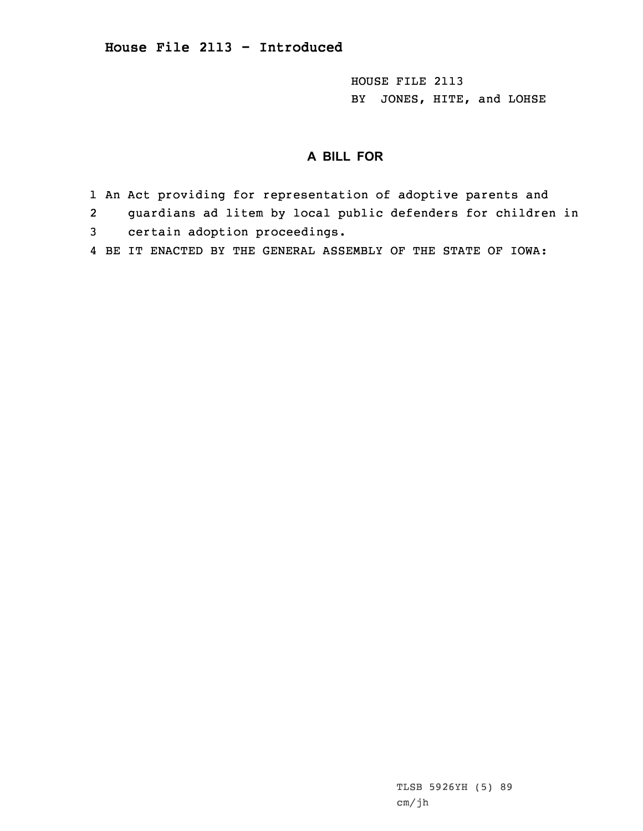HOUSE FILE 2113 BY JONES, HITE, and LOHSE

## **A BILL FOR**

- 1 An Act providing for representation of adoptive parents and
- 2guardians ad litem by local public defenders for children in
- 3 certain adoption proceedings.
- 4 BE IT ENACTED BY THE GENERAL ASSEMBLY OF THE STATE OF IOWA: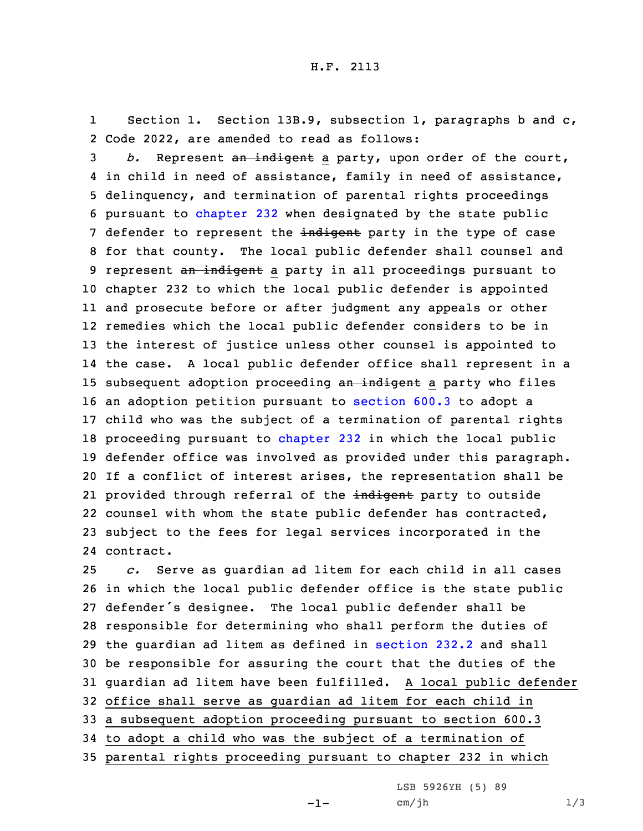1 Section 1. Section 13B.9, subsection 1, paragraphs b and c, 2 Code 2022, are amended to read as follows:

 *b.* Represent an indigent <sup>a</sup> party, upon order of the court, in child in need of assistance, family in need of assistance, delinquency, and termination of parental rights proceedings pursuant to [chapter](https://www.legis.iowa.gov/docs/code/2022/232.pdf) 232 when designated by the state public 7 defender to represent the indigent party in the type of case for that county. The local public defender shall counsel and 9 represent an indigent a party in all proceedings pursuant to chapter 232 to which the local public defender is appointed and prosecute before or after judgment any appeals or other remedies which the local public defender considers to be in the interest of justice unless other counsel is appointed to the case. <sup>A</sup> local public defender office shall represent in <sup>a</sup> 15 subsequent adoption proceeding an indigent a party who files an adoption petition pursuant to [section](https://www.legis.iowa.gov/docs/code/2022/600.3.pdf) 600.3 to adopt <sup>a</sup> child who was the subject of <sup>a</sup> termination of parental rights 18 proceeding pursuant to [chapter](https://www.legis.iowa.gov/docs/code/2022/232.pdf) 232 in which the local public defender office was involved as provided under this paragraph. If <sup>a</sup> conflict of interest arises, the representation shall be 21 provided through referral of the <del>indigent</del> party to outside counsel with whom the state public defender has contracted, subject to the fees for legal services incorporated in the contract.

 *c.* Serve as guardian ad litem for each child in all cases in which the local public defender office is the state public defender's designee. The local public defender shall be responsible for determining who shall perform the duties of the guardian ad litem as defined in [section](https://www.legis.iowa.gov/docs/code/2022/232.2.pdf) 232.2 and shall be responsible for assuring the court that the duties of the guardian ad litem have been fulfilled. <sup>A</sup> local public defender office shall serve as guardian ad litem for each child in <sup>a</sup> subsequent adoption proceeding pursuant to section 600.3 to adopt <sup>a</sup> child who was the subject of <sup>a</sup> termination of parental rights proceeding pursuant to chapter 232 in which

-1-

LSB 5926YH (5) 89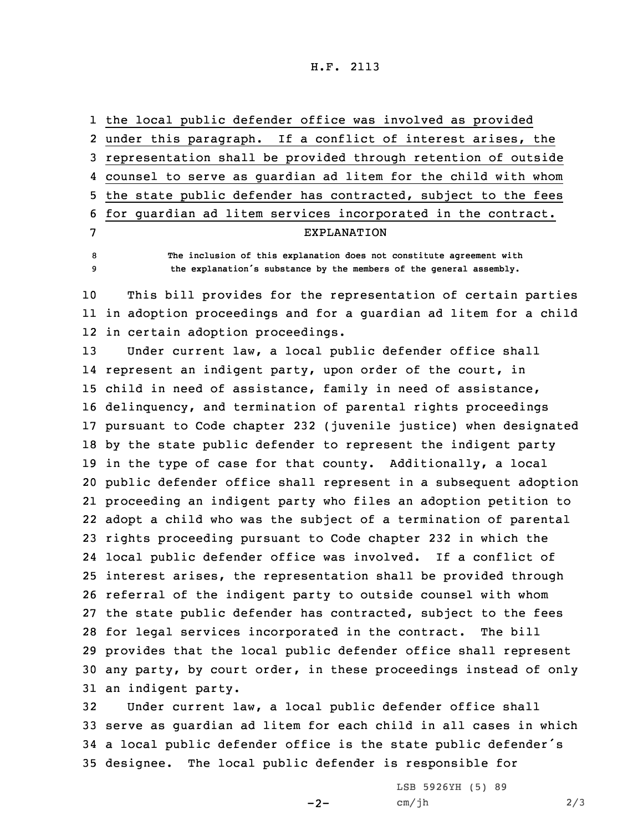H.F. 2113

|   | 1 the local public defender office was involved as provided          |
|---|----------------------------------------------------------------------|
|   | 2 under this paragraph. If a conflict of interest arises, the        |
|   | 3 representation shall be provided through retention of outside      |
|   | 4 counsel to serve as quardian ad litem for the child with whom      |
|   | 5 the state public defender has contracted, subject to the fees      |
|   | 6 for quardian ad litem services incorporated in the contract.       |
| 7 | <b>EXPLANATION</b>                                                   |
| 8 | The inclusion of this explanation does not constitute agreement with |

<sup>9</sup> **the explanation's substance by the members of the general assembly.**

10 This bill provides for the representation of certain parties 11 in adoption proceedings and for <sup>a</sup> guardian ad litem for <sup>a</sup> child 12 in certain adoption proceedings.

 Under current law, <sup>a</sup> local public defender office shall represent an indigent party, upon order of the court, in child in need of assistance, family in need of assistance, delinquency, and termination of parental rights proceedings pursuant to Code chapter 232 (juvenile justice) when designated by the state public defender to represent the indigent party in the type of case for that county. Additionally, <sup>a</sup> local public defender office shall represent in <sup>a</sup> subsequent adoption proceeding an indigent party who files an adoption petition to adopt <sup>a</sup> child who was the subject of <sup>a</sup> termination of parental rights proceeding pursuant to Code chapter 232 in which the local public defender office was involved. If <sup>a</sup> conflict of interest arises, the representation shall be provided through referral of the indigent party to outside counsel with whom the state public defender has contracted, subject to the fees for legal services incorporated in the contract. The bill provides that the local public defender office shall represent any party, by court order, in these proceedings instead of only an indigent party.

 Under current law, <sup>a</sup> local public defender office shall serve as guardian ad litem for each child in all cases in which <sup>a</sup> local public defender office is the state public defender's designee. The local public defender is responsible for

 $-2-$ 

LSB 5926YH (5) 89 cm/jh 2/3